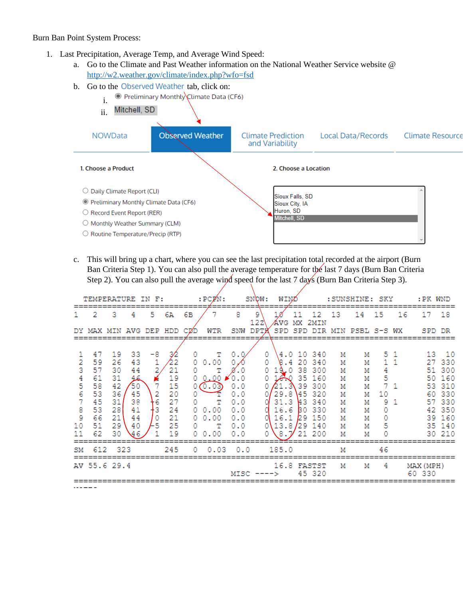## Burn Ban Point System Process:

- 1. Last Precipitation, Average Temp, and Average Wind Speed:
	- a. Go to the Climate and Past Weather information on the National Weather Service website @ <http://w2.weather.gov/climate/index.php?wfo=fsd>
	- b. Go to the Observed Weather tab, click on:
		- Preliminary Monthly Climate Data (CF6) i.
	- Mitchell, SD ii. **Observed Weather NOWData Climate Prediction Local Data/Records Climate Resource** and Variability 1. Choose a Product 2. Choose a Location O Daily Climate Report (CLI) Sioux Falls, SD ● Preliminary Monthly Climate Data (CF6) Sioux City, IA Huron, SD O Record Event Report (RER) Mitchell, SD O Monthly Weather Summary (CLM) O Routine Temperature/Precip (RTP)
	- c. This will bring up a chart, where you can see the last precipitation total recorded at the airport (Burn Ban Criteria Step 1). You can also pull the average temperature for the last 7 days (Burn Ban Criteria Step 2). You can also pull the average wind speed for the last 7 days (Burn Ban Criteria Step 3).

| TEMPERATURE IN F:                                |                                                                |                                                                |                                                                |                                    |                                                                | $:$ $PCPM:$                                          | SNOW:                                                                   |                                                                                   | WINZ     |                                                                    |                 | : SUNSHINE: SKY                                                                                                     |                                                     |                                                     | : PK WND                                    |                       |                     |                                                                                                   |
|--------------------------------------------------|----------------------------------------------------------------|----------------------------------------------------------------|----------------------------------------------------------------|------------------------------------|----------------------------------------------------------------|------------------------------------------------------|-------------------------------------------------------------------------|-----------------------------------------------------------------------------------|----------|--------------------------------------------------------------------|-----------------|---------------------------------------------------------------------------------------------------------------------|-----------------------------------------------------|-----------------------------------------------------|---------------------------------------------|-----------------------|---------------------|---------------------------------------------------------------------------------------------------|
|                                                  | 2                                                              | 3                                                              | 4                                                              | 5                                  | 6А                                                             | 6В                                                   |                                                                         | 8                                                                                 | 9<br>122 | AVG                                                                |                 | 12<br>MX 2MIN                                                                                                       | 13                                                  | 14                                                  | 15                                          | 16                    | 17                  | -18                                                                                               |
| DY.                                              | MAX MIN AVG DEP HDD                                            |                                                                |                                                                |                                    |                                                                | CIZD                                                 | WTR                                                                     | SNW                                                                               | DPTK     | <b>SPD</b>                                                         |                 |                                                                                                                     |                                                     | SPD DIR MIN PSBL S-S WX                             |                                             |                       | SPD DR              |                                                                                                   |
| 2<br>3<br>4<br>5<br>6<br>7<br>8<br>9<br>10<br>11 | 47<br>59<br>57<br>61<br>58<br>53<br>45<br>53<br>66<br>51<br>62 | 19<br>26<br>30<br>31<br>42<br>36<br>31<br>28<br>21<br>29<br>30 | 33<br>43<br>44<br>عر<br>50<br>45<br>38<br>41<br>44<br>40<br>46 | -8<br>7<br>2<br>16<br>ŀЗ<br>0<br>5 | 32<br>22<br>21<br>19<br>15<br>20<br>27<br>24<br>21<br>25<br>19 | $\Omega$<br>0.<br>0<br>0.<br>0<br>0<br>0.<br>0.<br>0 | т<br>0.00<br>т<br>0.00<br>0.03<br>т<br>0.00<br>0.00<br>т<br>$0\;\;0.00$ | 0.0<br>$\blacktriangleright$ 0.0<br>0.0<br>0.0<br>0.0<br>0.0<br>0.0<br>0.0<br>0.0 | 0<br>0   | 8.4<br>19.0<br>16.0<br>21.3<br>29.8<br>31.3<br>16.6<br>16.1<br>8.7 | -20<br>38<br>30 | 4.0 10 340<br>-340<br>300<br>35 160<br>39 300<br>45 320<br><b>43 340</b><br>-330<br>29 150<br>13.8/29 140<br>21 200 | М<br>м<br>М<br>М<br>М<br>М<br>м<br>М<br>м<br>м<br>М | М<br>М<br>М<br>м<br>М<br>М<br>М<br>М<br>М<br>М<br>М | 4<br>5<br>$7 - 1$<br>10<br>9<br>0<br>0<br>5 | 51<br>$1\quad1$<br>-1 | 27<br>50.<br>60.    | 13 10<br>330<br>51 300<br>160<br>53 310<br>-330<br>57 330<br>42 350<br>39 160<br>35 140<br>30 210 |
| SM                                               | 612                                                            | - 323                                                          |                                                                |                                    | 245                                                            | 0                                                    | 0.03                                                                    | 0.0                                                                               |          | 185.0                                                              |                 |                                                                                                                     | М                                                   |                                                     | 46                                          |                       |                     |                                                                                                   |
|                                                  | AV 55.6 29.4                                                   |                                                                |                                                                |                                    |                                                                |                                                      |                                                                         | $MISC -$                                                                          |          |                                                                    |                 | 16.8 FASTST<br>45 320                                                                                               | М                                                   | М                                                   | 4                                           |                       | MAX (MPH)<br>60 330 |                                                                                                   |
|                                                  |                                                                |                                                                |                                                                |                                    |                                                                |                                                      |                                                                         |                                                                                   |          |                                                                    |                 |                                                                                                                     |                                                     |                                                     |                                             |                       |                     |                                                                                                   |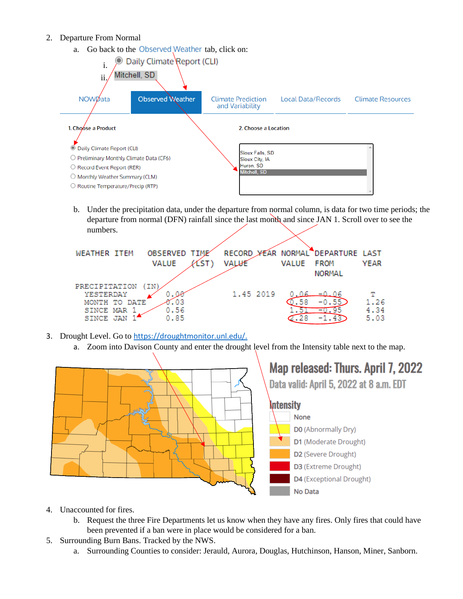## 2. Departure From Normal

a. Go back to the Observed Weather tab, click on:



b. Under the precipitation data, under the departure from normal column, is data for two time periods; the departure from normal (DFN) rainfall since the last month and since JAN 1. Scroll over to see the numbers.

| <b>WEATHER ITEM</b> | OBSERVED TIME<br>VALUE<br>∼ | RECORD YEAR NORMAL DEPARTURE LAST<br><b>VALUE</b> | VALUE | <b>FROM</b> | YEAR |
|---------------------|-----------------------------|---------------------------------------------------|-------|-------------|------|
|                     |                             |                                                   |       | NORMAL      |      |
| PRECIPITATION       |                             |                                                   |       |             |      |
| YESTERDAY           |                             | 1.45 2019                                         | 06    | ——0.06      |      |
| MONTH TO DATE       | . 03                        |                                                   | . 58  | $-0.55$     | 1.26 |
| SINCE MAR           | 0.56                        |                                                   |       |             | 4.34 |
| SINCE JAN           | 0.85                        |                                                   |       |             | 5.03 |

- 3. Drought Level. Go to [https://droughtmonitor.unl.edu/.](https://droughtmonitor.unl.edu/)
	- a. Zoom into Davison County and enter the drought level from the Intensity table next to the map.



- 4. Unaccounted for fires.
	- b. Request the three Fire Departments let us know when they have any fires. Only fires that could have been prevented if a ban were in place would be considered for a ban.
- 5. Surrounding Burn Bans. Tracked by the NWS.
	- a. Surrounding Counties to consider: Jerauld, Aurora, Douglas, Hutchinson, Hanson, Miner, Sanborn.